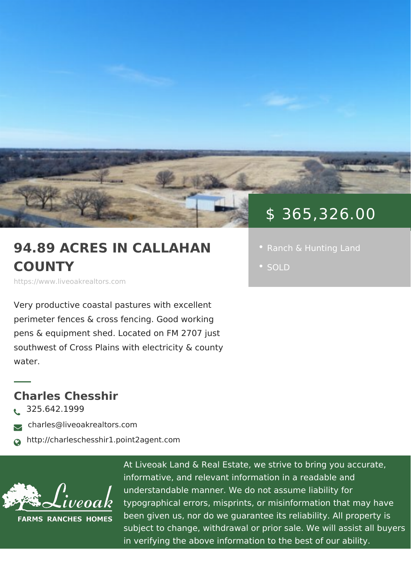## \$ 365,326.00

94.89 ACRES IN CALLAH | . [Ranch & Hunting](https://www.liveoakrealtors.com/es_category/ranch-hunting-land/) Land COUNTY

https://www.liveoakrealtors.com

Very productive coastal pastures with excellent perimeter fences & cross fencing. Good working pens & equipment shed. Located on FM 2707 just southwest of Cross Plains with electricity & county water.

Charles Chesshir  $\delta$ • 325.642.1999 ðà charles@liveoakrealtors.com ð¬ http://charleschesshir1.point2agent.com

> At Liveoak Land & Real Estate, we strive to brin informative, and relevant information in a reada understandable manner. We do not assume liabil typographical errors, misprints, or misinformatic been given us, nor do we guarantee its reliabilit subject to change, withdrawal or prior sale. We in verifying the above information to the best of